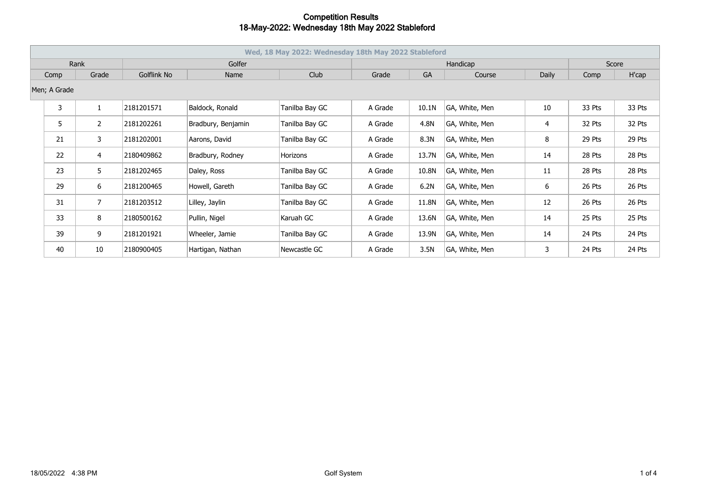| Wed, 18 May 2022: Wednesday 18th May 2022 Stableford |    |                |             |                    |                |         |           |                |       |        |        |
|------------------------------------------------------|----|----------------|-------------|--------------------|----------------|---------|-----------|----------------|-------|--------|--------|
| Rank                                                 |    | Golfer         |             |                    | Handicap       |         |           |                | Score |        |        |
| Grade<br>Comp                                        |    |                | Golflink No | Name               | Club           | Grade   | <b>GA</b> | Course         | Daily | Comp   | H'cap  |
| Men; A Grade                                         |    |                |             |                    |                |         |           |                |       |        |        |
|                                                      | 3  | $\mathbf{1}$   | 2181201571  | Baldock, Ronald    | Tanilba Bay GC | A Grade | 10.1N     | GA, White, Men | 10    | 33 Pts | 33 Pts |
|                                                      | 5  | $\overline{2}$ | 2181202261  | Bradbury, Benjamin | Tanilba Bay GC | A Grade | 4.8N      | GA, White, Men | 4     | 32 Pts | 32 Pts |
|                                                      | 21 | 3              | 2181202001  | Aarons, David      | Tanilba Bay GC | A Grade | 8.3N      | GA, White, Men | 8     | 29 Pts | 29 Pts |
|                                                      | 22 | 4              | 2180409862  | Bradbury, Rodney   | Horizons       | A Grade | 13.7N     | GA, White, Men | 14    | 28 Pts | 28 Pts |
|                                                      | 23 | 5              | 2181202465  | Daley, Ross        | Tanilba Bay GC | A Grade | 10.8N     | GA, White, Men | 11    | 28 Pts | 28 Pts |
|                                                      | 29 | 6              | 2181200465  | Howell, Gareth     | Tanilba Bay GC | A Grade | 6.2N      | GA, White, Men | 6     | 26 Pts | 26 Pts |
|                                                      | 31 | $\overline{7}$ | 2181203512  | Lilley, Jaylin     | Tanilba Bay GC | A Grade | 11.8N     | GA, White, Men | 12    | 26 Pts | 26 Pts |
|                                                      | 33 | 8              | 2180500162  | Pullin, Nigel      | Karuah GC      | A Grade | 13.6N     | GA, White, Men | 14    | 25 Pts | 25 Pts |
|                                                      | 39 | 9              | 2181201921  | Wheeler, Jamie     | Tanilba Bay GC | A Grade | 13.9N     | GA, White, Men | 14    | 24 Pts | 24 Pts |
|                                                      | 40 | 10             | 2180900405  | Hartigan, Nathan   | Newcastle GC   | A Grade | 3.5N      | GA, White, Men | 3     | 24 Pts | 24 Pts |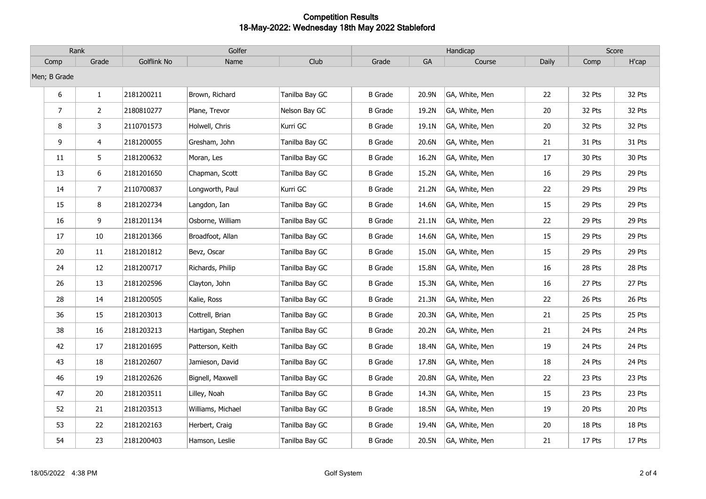| Rank           |                | Golfer      |                   |                | Handicap       |       |                |        | Score  |        |
|----------------|----------------|-------------|-------------------|----------------|----------------|-------|----------------|--------|--------|--------|
| Comp           | Grade          | Golflink No | Name              | Club           | Grade          | GA    | Course         | Daily  | Comp   | H'cap  |
| Men; B Grade   |                |             |                   |                |                |       |                |        |        |        |
| 6              | $\mathbf{1}$   | 2181200211  | Brown, Richard    | Tanilba Bay GC | <b>B</b> Grade | 20.9N | GA, White, Men | 22     | 32 Pts | 32 Pts |
| $\overline{7}$ | $\overline{2}$ | 2180810277  | Plane, Trevor     | Nelson Bay GC  | <b>B</b> Grade | 19.2N | GA, White, Men | $20\,$ | 32 Pts | 32 Pts |
| 8              | 3              | 2110701573  | Holwell, Chris    | Kurri GC       | <b>B</b> Grade | 19.1N | GA, White, Men | 20     | 32 Pts | 32 Pts |
| 9              | 4              | 2181200055  | Gresham, John     | Tanilba Bay GC | <b>B</b> Grade | 20.6N | GA, White, Men | 21     | 31 Pts | 31 Pts |
| $11\,$         | 5              | 2181200632  | Moran, Les        | Tanilba Bay GC | <b>B</b> Grade | 16.2N | GA, White, Men | 17     | 30 Pts | 30 Pts |
| 13             | 6              | 2181201650  | Chapman, Scott    | Tanilba Bay GC | <b>B</b> Grade | 15.2N | GA, White, Men | 16     | 29 Pts | 29 Pts |
| 14             | 7 <sup>7</sup> | 2110700837  | Longworth, Paul   | Kurri GC       | <b>B</b> Grade | 21.2N | GA, White, Men | 22     | 29 Pts | 29 Pts |
| 15             | 8              | 2181202734  | Langdon, Ian      | Tanilba Bay GC | <b>B</b> Grade | 14.6N | GA, White, Men | 15     | 29 Pts | 29 Pts |
| 16             | 9              | 2181201134  | Osborne, William  | Tanilba Bay GC | <b>B</b> Grade | 21.1N | GA, White, Men | 22     | 29 Pts | 29 Pts |
| 17             | 10             | 2181201366  | Broadfoot, Allan  | Tanilba Bay GC | <b>B</b> Grade | 14.6N | GA, White, Men | 15     | 29 Pts | 29 Pts |
| $20\,$         | $11\,$         | 2181201812  | Bevz, Oscar       | Tanilba Bay GC | <b>B</b> Grade | 15.0N | GA, White, Men | 15     | 29 Pts | 29 Pts |
| 24             | 12             | 2181200717  | Richards, Philip  | Tanilba Bay GC | <b>B</b> Grade | 15.8N | GA, White, Men | 16     | 28 Pts | 28 Pts |
| 26             | 13             | 2181202596  | Clayton, John     | Tanilba Bay GC | <b>B</b> Grade | 15.3N | GA, White, Men | 16     | 27 Pts | 27 Pts |
| 28             | 14             | 2181200505  | Kalie, Ross       | Tanilba Bay GC | <b>B</b> Grade | 21.3N | GA, White, Men | 22     | 26 Pts | 26 Pts |
| 36             | 15             | 2181203013  | Cottrell, Brian   | Tanilba Bay GC | <b>B</b> Grade | 20.3N | GA, White, Men | 21     | 25 Pts | 25 Pts |
| 38             | 16             | 2181203213  | Hartigan, Stephen | Tanilba Bay GC | <b>B</b> Grade | 20.2N | GA, White, Men | 21     | 24 Pts | 24 Pts |
| 42             | 17             | 2181201695  | Patterson, Keith  | Tanilba Bay GC | <b>B</b> Grade | 18.4N | GA, White, Men | 19     | 24 Pts | 24 Pts |
| 43             | 18             | 2181202607  | Jamieson, David   | Tanilba Bay GC | <b>B</b> Grade | 17.8N | GA, White, Men | 18     | 24 Pts | 24 Pts |
| 46             | 19             | 2181202626  | Bignell, Maxwell  | Tanilba Bay GC | <b>B</b> Grade | 20.8N | GA, White, Men | 22     | 23 Pts | 23 Pts |
| 47             | 20             | 2181203511  | Lilley, Noah      | Tanilba Bay GC | <b>B</b> Grade | 14.3N | GA, White, Men | 15     | 23 Pts | 23 Pts |
| 52             | 21             | 2181203513  | Williams, Michael | Tanilba Bay GC | <b>B</b> Grade | 18.5N | GA, White, Men | 19     | 20 Pts | 20 Pts |
| 53             | 22             | 2181202163  | Herbert, Craig    | Tanilba Bay GC | <b>B</b> Grade | 19.4N | GA, White, Men | 20     | 18 Pts | 18 Pts |
| 54             | 23             | 2181200403  | Hamson, Leslie    | Tanilba Bay GC | <b>B</b> Grade | 20.5N | GA, White, Men | 21     | 17 Pts | 17 Pts |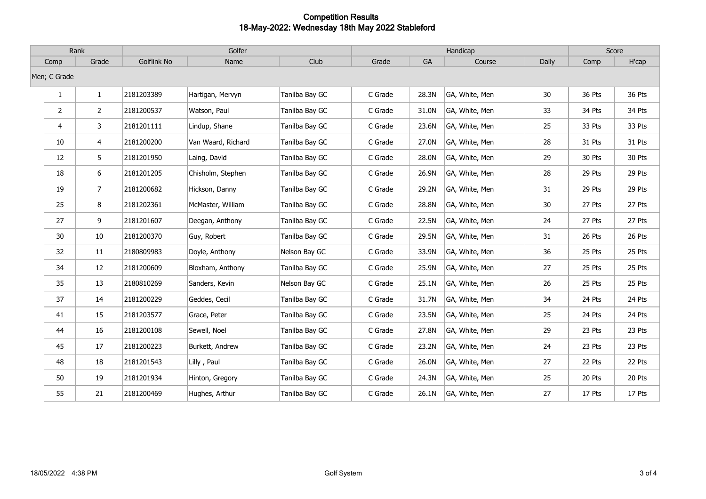|                | Rank           | Golfer      |                    |                | Handicap |           |                |       | Score  |        |
|----------------|----------------|-------------|--------------------|----------------|----------|-----------|----------------|-------|--------|--------|
| Grade<br>Comp  |                | Golflink No | Name               | Club           | Grade    | <b>GA</b> | Course         | Daily | Comp   | H'cap  |
|                | Men; C Grade   |             |                    |                |          |           |                |       |        |        |
| $\mathbf{1}$   | $\mathbf{1}$   | 2181203389  | Hartigan, Mervyn   | Tanilba Bay GC | C Grade  | 28.3N     | GA, White, Men | 30    | 36 Pts | 36 Pts |
| $\overline{2}$ | $\overline{2}$ | 2181200537  | Watson, Paul       | Tanilba Bay GC | C Grade  | 31.0N     | GA, White, Men | 33    | 34 Pts | 34 Pts |
| 4              | 3              | 2181201111  | Lindup, Shane      | Tanilba Bay GC | C Grade  | 23.6N     | GA, White, Men | 25    | 33 Pts | 33 Pts |
| 10             | 4              | 2181200200  | Van Waard, Richard | Tanilba Bay GC | C Grade  | 27.0N     | GA, White, Men | 28    | 31 Pts | 31 Pts |
| 12             | 5              | 2181201950  | Laing, David       | Tanilba Bay GC | C Grade  | 28.0N     | GA, White, Men | 29    | 30 Pts | 30 Pts |
| 18             | 6              | 2181201205  | Chisholm, Stephen  | Tanilba Bay GC | C Grade  | 26.9N     | GA, White, Men | 28    | 29 Pts | 29 Pts |
| 19             | $\overline{7}$ | 2181200682  | Hickson, Danny     | Tanilba Bay GC | C Grade  | 29.2N     | GA, White, Men | 31    | 29 Pts | 29 Pts |
| 25             | 8              | 2181202361  | McMaster, William  | Tanilba Bay GC | C Grade  | 28.8N     | GA, White, Men | 30    | 27 Pts | 27 Pts |
| 27             | 9              | 2181201607  | Deegan, Anthony    | Tanilba Bay GC | C Grade  | 22.5N     | GA, White, Men | 24    | 27 Pts | 27 Pts |
| 30             | 10             | 2181200370  | Guy, Robert        | Tanilba Bay GC | C Grade  | 29.5N     | GA, White, Men | 31    | 26 Pts | 26 Pts |
| 32             | 11             | 2180809983  | Doyle, Anthony     | Nelson Bay GC  | C Grade  | 33.9N     | GA, White, Men | 36    | 25 Pts | 25 Pts |
| 34             | 12             | 2181200609  | Bloxham, Anthony   | Tanilba Bay GC | C Grade  | 25.9N     | GA, White, Men | 27    | 25 Pts | 25 Pts |
| 35             | 13             | 2180810269  | Sanders, Kevin     | Nelson Bay GC  | C Grade  | 25.1N     | GA, White, Men | 26    | 25 Pts | 25 Pts |
| 37             | 14             | 2181200229  | Geddes, Cecil      | Tanilba Bay GC | C Grade  | 31.7N     | GA, White, Men | 34    | 24 Pts | 24 Pts |
| 41             | 15             | 2181203577  | Grace, Peter       | Tanilba Bay GC | C Grade  | 23.5N     | GA, White, Men | 25    | 24 Pts | 24 Pts |
| 44             | 16             | 2181200108  | Sewell, Noel       | Tanilba Bay GC | C Grade  | 27.8N     | GA, White, Men | 29    | 23 Pts | 23 Pts |
| 45             | 17             | 2181200223  | Burkett, Andrew    | Tanilba Bay GC | C Grade  | 23.2N     | GA, White, Men | 24    | 23 Pts | 23 Pts |
| 48             | 18             | 2181201543  | Lilly, Paul        | Tanilba Bay GC | C Grade  | 26.0N     | GA, White, Men | 27    | 22 Pts | 22 Pts |
| 50             | 19             | 2181201934  | Hinton, Gregory    | Tanilba Bay GC | C Grade  | 24.3N     | GA, White, Men | 25    | 20 Pts | 20 Pts |
| 55             | 21             | 2181200469  | Hughes, Arthur     | Tanilba Bay GC | C Grade  | 26.1N     | GA, White, Men | 27    | 17 Pts | 17 Pts |